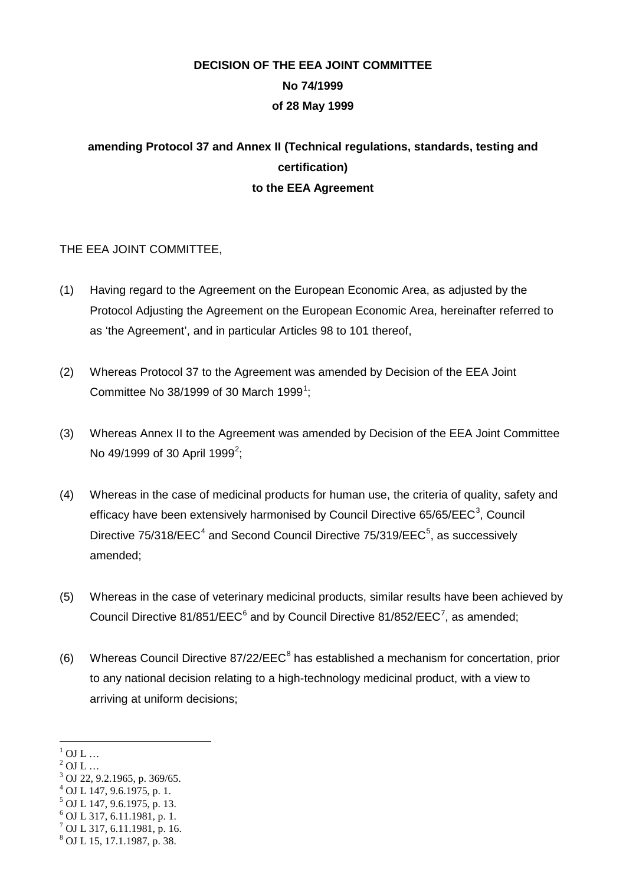# **DECISION OF THE EEA JOINT COMMITTEE No 74/1999 of 28 May 1999**

# **amending Protocol 37 and Annex II (Technical regulations, standards, testing and certification) to the EEA Agreement**

# THE EEA JOINT COMMITTEE,

- (1) Having regard to the Agreement on the European Economic Area, as adjusted by the Protocol Adjusting the Agreement on the European Economic Area, hereinafter referred to as 'the Agreement', and in particular Articles 98 to 101 thereof,
- (2) Whereas Protocol 37 to the Agreement was amended by Decision of the EEA Joint Committee No 38/[1](#page-0-0)999 of 30 March 1999<sup>1</sup>;
- (3) Whereas Annex II to the Agreement was amended by Decision of the EEA Joint Committee No 49/1999 of 30 April 1999<sup>[2](#page-0-1)</sup>;
- (4) Whereas in the case of medicinal products for human use, the criteria of quality, safety and efficacy have been extensively harmonised by Council Directive 65/65/EEC<sup>[3](#page-0-2)</sup>, Council Directive  $75/318/EEC<sup>4</sup>$  $75/318/EEC<sup>4</sup>$  $75/318/EEC<sup>4</sup>$  and Second Council Directive  $75/319/EEC<sup>5</sup>$  $75/319/EEC<sup>5</sup>$  $75/319/EEC<sup>5</sup>$ , as successively amended;
- (5) Whereas in the case of veterinary medicinal products, similar results have been achieved by Council Directive 81/851/EEC $^6$  $^6$  and by Council Directive 81/852/EEC<sup>[7](#page-0-6)</sup>, as amended;
- (6) Whereas Council Directive  $87/22/EEC<sup>8</sup>$  $87/22/EEC<sup>8</sup>$  has established a mechanism for concertation, prior to any national decision relating to a high-technology medicinal product, with a view to arriving at uniform decisions;

<span id="page-0-0"></span> $1$  OJ L ...

<span id="page-0-1"></span> $2$  OJ L ...

<span id="page-0-2"></span><sup>3</sup> OJ 22, 9.2.1965, p. 369/65.

<span id="page-0-3"></span> $^{4}$  OJ L 147, 9.6.1975, p. 1.

<span id="page-0-4"></span><sup>5</sup> OJ L 147, 9.6.1975, p. 13.

<span id="page-0-5"></span><sup>6</sup> OJ L 317, 6.11.1981, p. 1.

<span id="page-0-6"></span><sup>7</sup> OJ L 317, 6.11.1981, p. 16.

<span id="page-0-7"></span><sup>8</sup> OJ L 15, 17.1.1987, p. 38.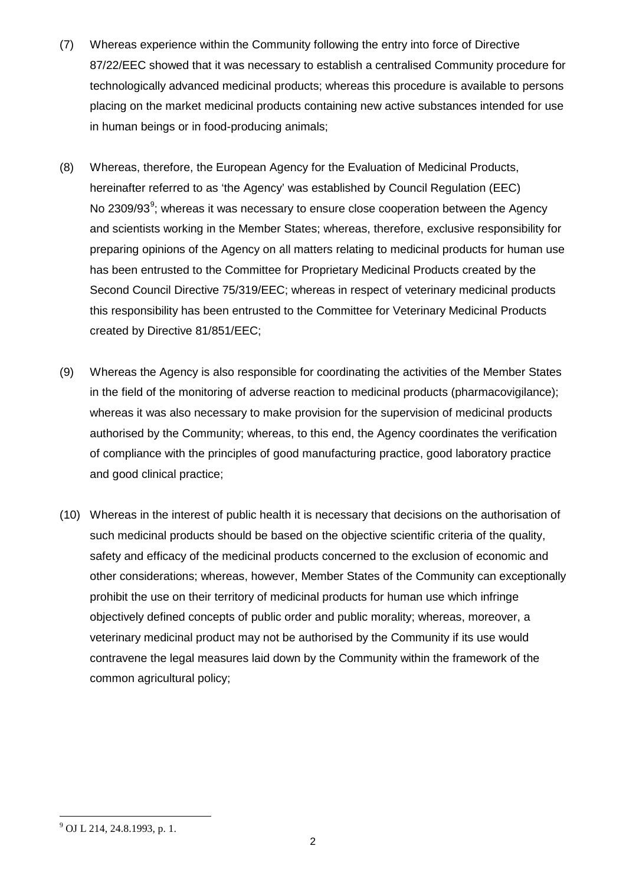- (7) Whereas experience within the Community following the entry into force of Directive 87/22/EEC showed that it was necessary to establish a centralised Community procedure for technologically advanced medicinal products; whereas this procedure is available to persons placing on the market medicinal products containing new active substances intended for use in human beings or in food-producing animals;
- (8) Whereas, therefore, the European Agency for the Evaluation of Medicinal Products, hereinafter referred to as 'the Agency' was established by Council Regulation (EEC) No 230[9](#page-0-6)/93 $\degree$ ; whereas it was necessary to ensure close cooperation between the Agency and scientists working in the Member States; whereas, therefore, exclusive responsibility for preparing opinions of the Agency on all matters relating to medicinal products for human use has been entrusted to the Committee for Proprietary Medicinal Products created by the Second Council Directive 75/319/EEC; whereas in respect of veterinary medicinal products this responsibility has been entrusted to the Committee for Veterinary Medicinal Products created by Directive 81/851/EEC;
- (9) Whereas the Agency is also responsible for coordinating the activities of the Member States in the field of the monitoring of adverse reaction to medicinal products (pharmacovigilance); whereas it was also necessary to make provision for the supervision of medicinal products authorised by the Community; whereas, to this end, the Agency coordinates the verification of compliance with the principles of good manufacturing practice, good laboratory practice and good clinical practice;
- (10) Whereas in the interest of public health it is necessary that decisions on the authorisation of such medicinal products should be based on the objective scientific criteria of the quality, safety and efficacy of the medicinal products concerned to the exclusion of economic and other considerations; whereas, however, Member States of the Community can exceptionally prohibit the use on their territory of medicinal products for human use which infringe objectively defined concepts of public order and public morality; whereas, moreover, a veterinary medicinal product may not be authorised by the Community if its use would contravene the legal measures laid down by the Community within the framework of the common agricultural policy;

<span id="page-1-0"></span><sup>9</sup> OJ L 214, 24.8.1993, p. 1.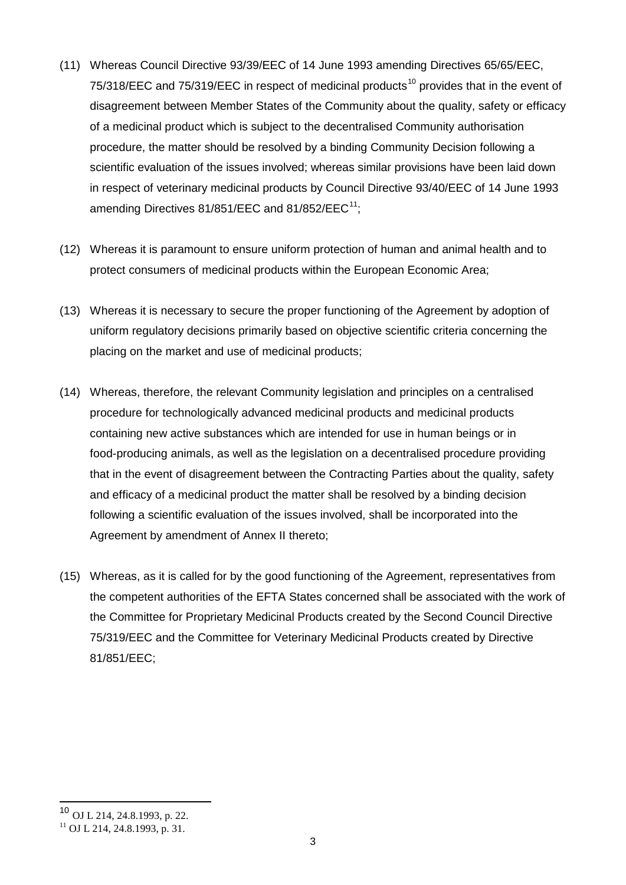- (11) Whereas Council Directive 93/39/EEC of 14 June 1993 amending Directives 65/65/EEC, 75/318/EEC and 75/319/EEC in respect of medicinal products<sup>[10](#page-1-0)</sup> provides that in the event of disagreement between Member States of the Community about the quality, safety or efficacy of a medicinal product which is subject to the decentralised Community authorisation procedure, the matter should be resolved by a binding Community Decision following a scientific evaluation of the issues involved; whereas similar provisions have been laid down in respect of veterinary medicinal products by Council Directive 93/40/EEC of 14 June 1993 amending Directives  $81/851/EEC$  and  $81/852/EEC<sup>11</sup>$  $81/852/EEC<sup>11</sup>$  $81/852/EEC<sup>11</sup>$ ;
- (12) Whereas it is paramount to ensure uniform protection of human and animal health and to protect consumers of medicinal products within the European Economic Area;
- (13) Whereas it is necessary to secure the proper functioning of the Agreement by adoption of uniform regulatory decisions primarily based on objective scientific criteria concerning the placing on the market and use of medicinal products;
- (14) Whereas, therefore, the relevant Community legislation and principles on a centralised procedure for technologically advanced medicinal products and medicinal products containing new active substances which are intended for use in human beings or in food-producing animals, as well as the legislation on a decentralised procedure providing that in the event of disagreement between the Contracting Parties about the quality, safety and efficacy of a medicinal product the matter shall be resolved by a binding decision following a scientific evaluation of the issues involved, shall be incorporated into the Agreement by amendment of Annex II thereto;
- (15) Whereas, as it is called for by the good functioning of the Agreement, representatives from the competent authorities of the EFTA States concerned shall be associated with the work of the Committee for Proprietary Medicinal Products created by the Second Council Directive 75/319/EEC and the Committee for Veterinary Medicinal Products created by Directive 81/851/EEC;

 <sup>10</sup> OJ L 214, 24.8.1993, p. 22.

<span id="page-2-0"></span> $11$  OJ L 214, 24, 8, 1993, p. 31.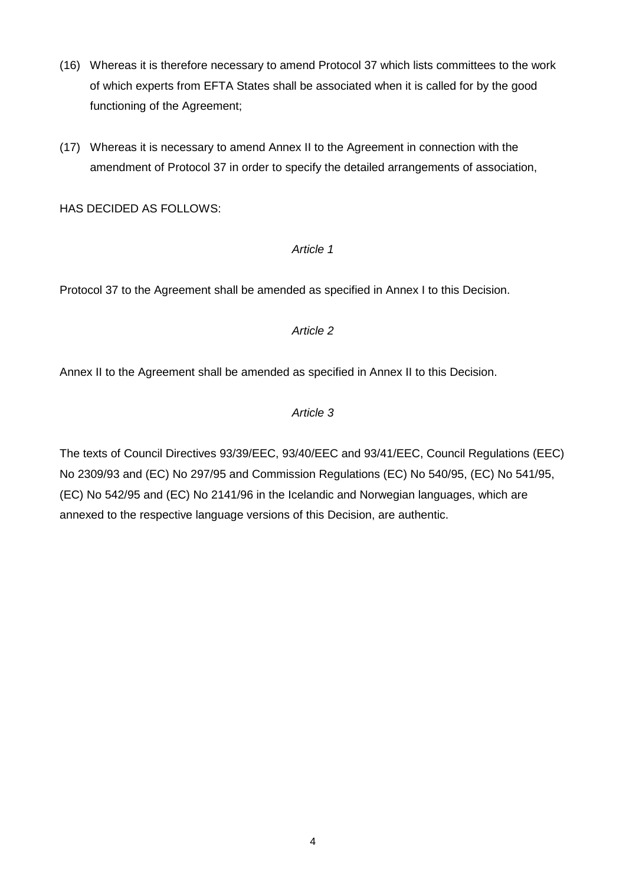- (16) Whereas it is therefore necessary to amend Protocol 37 which lists committees to the work of which experts from EFTA States shall be associated when it is called for by the good functioning of the Agreement;
- (17) Whereas it is necessary to amend Annex II to the Agreement in connection with the amendment of Protocol 37 in order to specify the detailed arrangements of association,

HAS DECIDED AS FOLLOWS:

#### *Article 1*

Protocol 37 to the Agreement shall be amended as specified in Annex I to this Decision.

#### *Article 2*

Annex II to the Agreement shall be amended as specified in Annex II to this Decision.

# *Article 3*

The texts of Council Directives 93/39/EEC, 93/40/EEC and 93/41/EEC, Council Regulations (EEC) No 2309/93 and (EC) No 297/95 and Commission Regulations (EC) No 540/95, (EC) No 541/95, (EC) No 542/95 and (EC) No 2141/96 in the Icelandic and Norwegian languages, which are annexed to the respective language versions of this Decision, are authentic.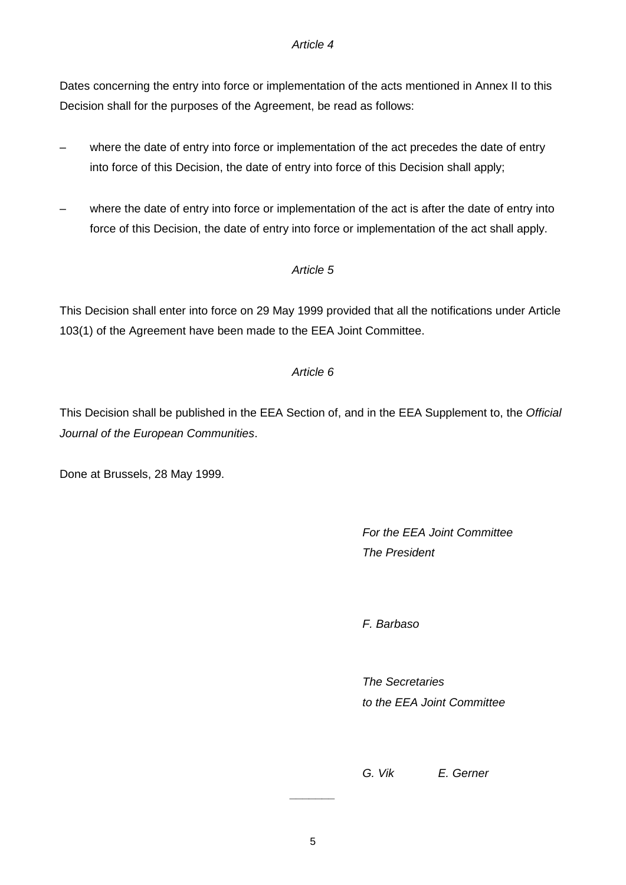#### *Article 4*

Dates concerning the entry into force or implementation of the acts mentioned in Annex II to this Decision shall for the purposes of the Agreement, be read as follows:

- where the date of entry into force or implementation of the act precedes the date of entry into force of this Decision, the date of entry into force of this Decision shall apply;
- where the date of entry into force or implementation of the act is after the date of entry into force of this Decision, the date of entry into force or implementation of the act shall apply.

# *Article 5*

This Decision shall enter into force on 29 May 1999 provided that all the notifications under Article 103(1) of the Agreement have been made to the EEA Joint Committee.

#### *Article 6*

This Decision shall be published in the EEA Section of, and in the EEA Supplement to, the *Official Journal of the European Communities*.

Done at Brussels, 28 May 1999.

# *For the EEA Joint Committee The President*

*F. Barbaso*

*The Secretaries to the EEA Joint Committee*

*G. Vik E. Gerner*

*\_\_\_\_\_\_\_*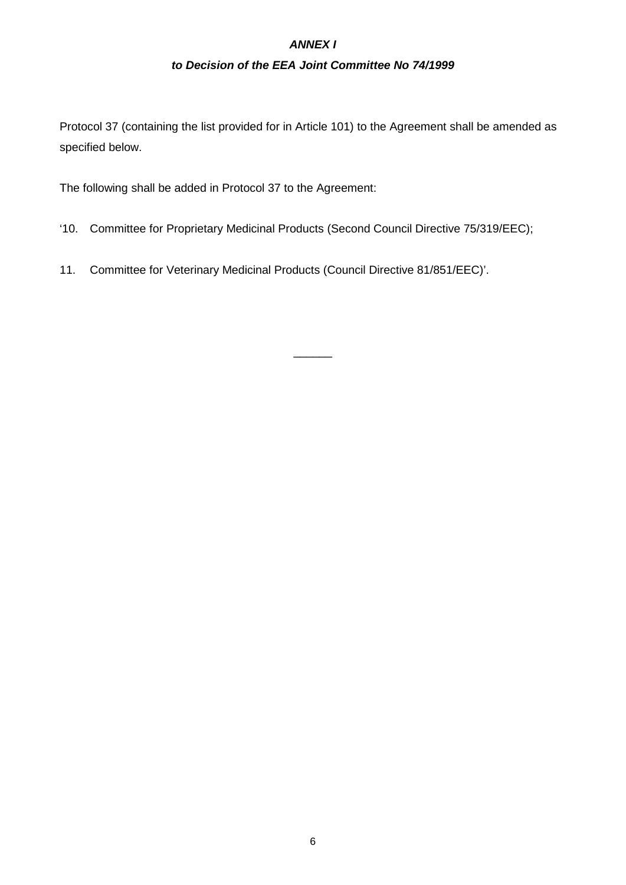# *ANNEX I*

### *to Decision of the EEA Joint Committee No 74/1999*

Protocol 37 (containing the list provided for in Article 101) to the Agreement shall be amended as specified below.

The following shall be added in Protocol 37 to the Agreement:

'10. Committee for Proprietary Medicinal Products (Second Council Directive 75/319/EEC);

 $\overline{\phantom{a}}$ 

11. Committee for Veterinary Medicinal Products (Council Directive 81/851/EEC)'.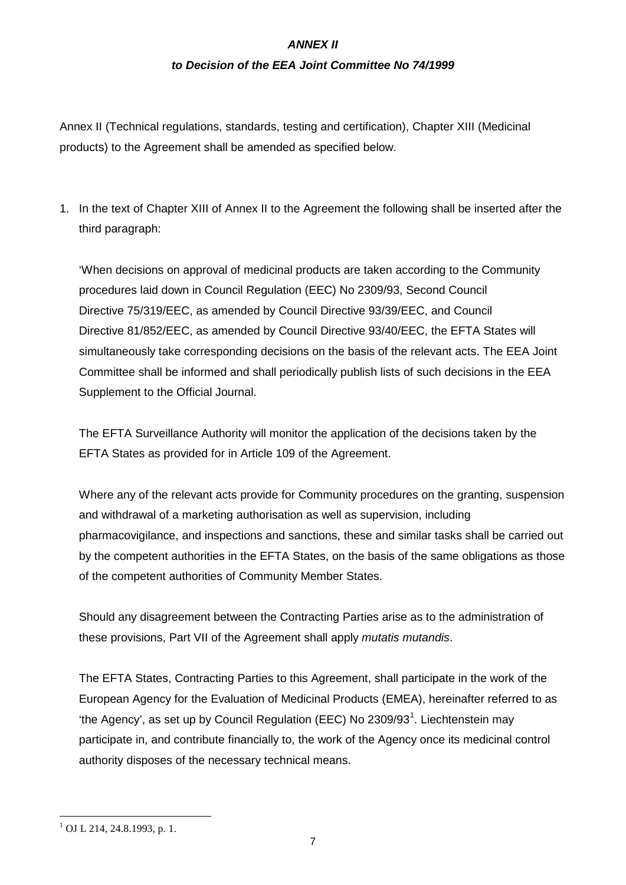# *ANNEX II*

#### *to Decision of the EEA Joint Committee No 74/1999*

Annex II (Technical regulations, standards, testing and certification), Chapter XIII (Medicinal products) to the Agreement shall be amended as specified below.

1. In the text of Chapter XIII of Annex II to the Agreement the following shall be inserted after the third paragraph:

'When decisions on approval of medicinal products are taken according to the Community procedures laid down in Council Regulation (EEC) No 2309/93, Second Council Directive 75/319/EEC, as amended by Council Directive 93/39/EEC, and Council Directive 81/852/EEC, as amended by Council Directive 93/40/EEC, the EFTA States will simultaneously take corresponding decisions on the basis of the relevant acts. The EEA Joint Committee shall be informed and shall periodically publish lists of such decisions in the EEA Supplement to the Official Journal.

The EFTA Surveillance Authority will monitor the application of the decisions taken by the EFTA States as provided for in Article 109 of the Agreement.

Where any of the relevant acts provide for Community procedures on the granting, suspension and withdrawal of a marketing authorisation as well as supervision, including pharmacovigilance, and inspections and sanctions, these and similar tasks shall be carried out by the competent authorities in the EFTA States, on the basis of the same obligations as those of the competent authorities of Community Member States.

Should any disagreement between the Contracting Parties arise as to the administration of these provisions, Part VII of the Agreement shall apply *mutatis mutandis*.

The EFTA States, Contracting Parties to this Agreement, shall participate in the work of the European Agency for the Evaluation of Medicinal Products (EMEA), hereinafter referred to as 'the Agency', as set up by Council Regulation (EEC) No 2309/93<sup>[1](#page-2-0)</sup>. Liechtenstein may participate in, and contribute financially to, the work of the Agency once its medicinal control authority disposes of the necessary technical means.

 $1$  OJ L 214, 24.8.1993, p. 1.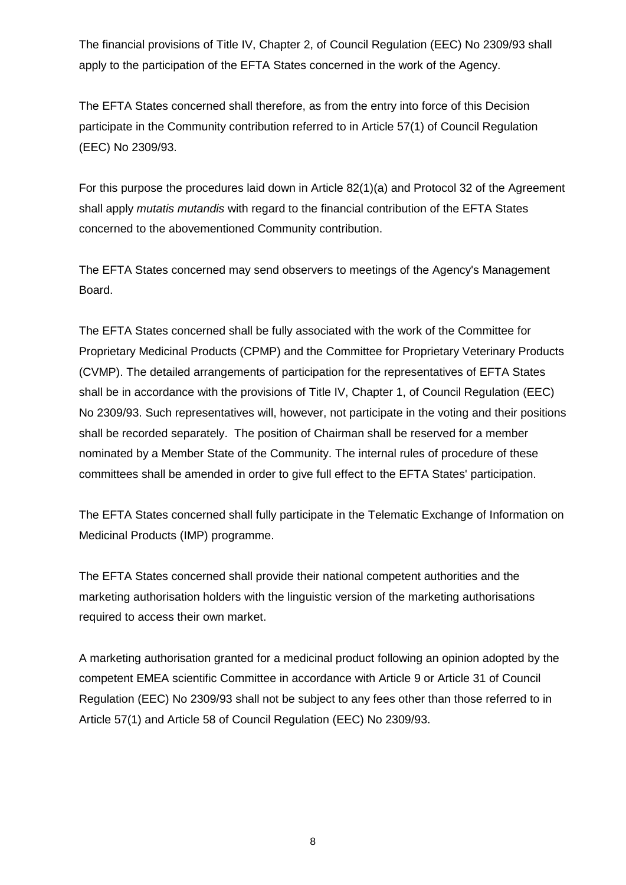The financial provisions of Title IV, Chapter 2, of Council Regulation (EEC) No 2309/93 shall apply to the participation of the EFTA States concerned in the work of the Agency.

The EFTA States concerned shall therefore, as from the entry into force of this Decision participate in the Community contribution referred to in Article 57(1) of Council Regulation (EEC) No 2309/93.

For this purpose the procedures laid down in Article 82(1)(a) and Protocol 32 of the Agreement shall apply *mutatis mutandis* with regard to the financial contribution of the EFTA States concerned to the abovementioned Community contribution.

The EFTA States concerned may send observers to meetings of the Agency's Management Board.

The EFTA States concerned shall be fully associated with the work of the Committee for Proprietary Medicinal Products (CPMP) and the Committee for Proprietary Veterinary Products (CVMP). The detailed arrangements of participation for the representatives of EFTA States shall be in accordance with the provisions of Title IV, Chapter 1, of Council Regulation (EEC) No 2309/93. Such representatives will, however, not participate in the voting and their positions shall be recorded separately. The position of Chairman shall be reserved for a member nominated by a Member State of the Community. The internal rules of procedure of these committees shall be amended in order to give full effect to the EFTA States' participation.

The EFTA States concerned shall fully participate in the Telematic Exchange of Information on Medicinal Products (IMP) programme.

The EFTA States concerned shall provide their national competent authorities and the marketing authorisation holders with the linguistic version of the marketing authorisations required to access their own market.

A marketing authorisation granted for a medicinal product following an opinion adopted by the competent EMEA scientific Committee in accordance with Article 9 or Article 31 of Council Regulation (EEC) No 2309/93 shall not be subject to any fees other than those referred to in Article 57(1) and Article 58 of Council Regulation (EEC) No 2309/93.

8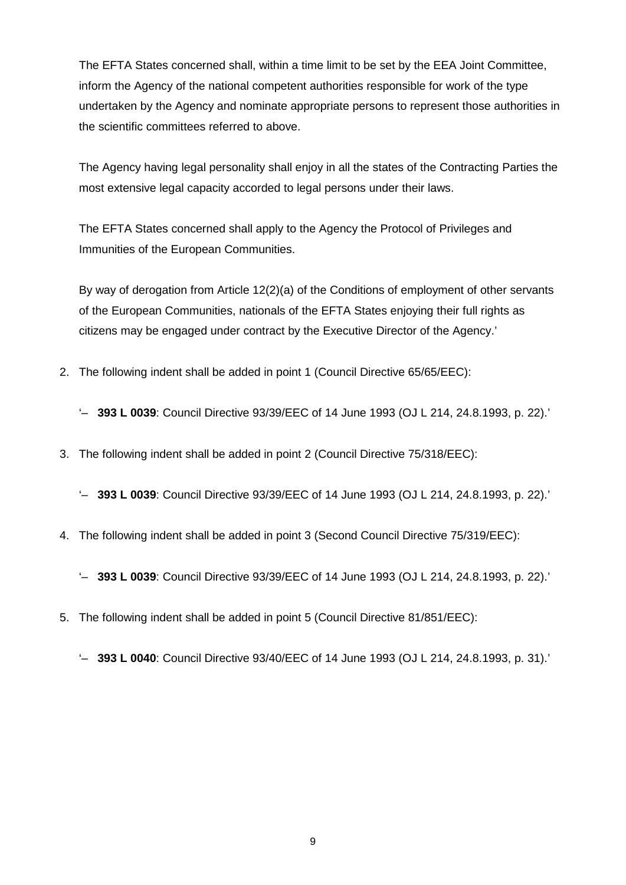The EFTA States concerned shall, within a time limit to be set by the EEA Joint Committee, inform the Agency of the national competent authorities responsible for work of the type undertaken by the Agency and nominate appropriate persons to represent those authorities in the scientific committees referred to above.

The Agency having legal personality shall enjoy in all the states of the Contracting Parties the most extensive legal capacity accorded to legal persons under their laws.

The EFTA States concerned shall apply to the Agency the Protocol of Privileges and Immunities of the European Communities.

By way of derogation from Article 12(2)(a) of the Conditions of employment of other servants of the European Communities, nationals of the EFTA States enjoying their full rights as citizens may be engaged under contract by the Executive Director of the Agency.'

2. The following indent shall be added in point 1 (Council Directive 65/65/EEC):

'– **393 L 0039**: Council Directive 93/39/EEC of 14 June 1993 (OJ L 214, 24.8.1993, p. 22).'

3. The following indent shall be added in point 2 (Council Directive 75/318/EEC):

'– **393 L 0039**: Council Directive 93/39/EEC of 14 June 1993 (OJ L 214, 24.8.1993, p. 22).'

4. The following indent shall be added in point 3 (Second Council Directive 75/319/EEC):

'– **393 L 0039**: Council Directive 93/39/EEC of 14 June 1993 (OJ L 214, 24.8.1993, p. 22).'

5. The following indent shall be added in point 5 (Council Directive 81/851/EEC):

<sup>&#</sup>x27;– **393 L 0040**: Council Directive 93/40/EEC of 14 June 1993 (OJ L 214, 24.8.1993, p. 31).'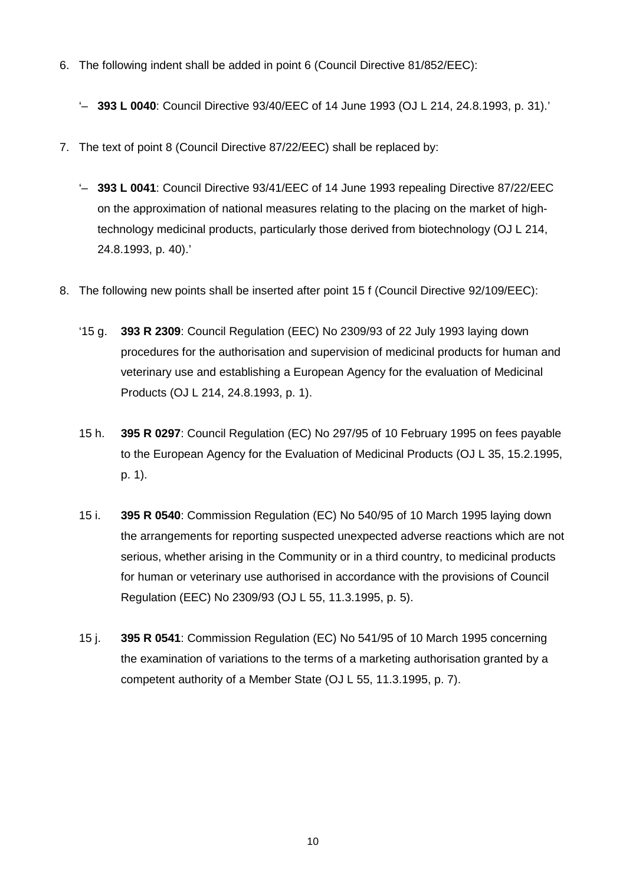- 6. The following indent shall be added in point 6 (Council Directive 81/852/EEC):
	- '– **393 L 0040**: Council Directive 93/40/EEC of 14 June 1993 (OJ L 214, 24.8.1993, p. 31).'
- 7. The text of point 8 (Council Directive 87/22/EEC) shall be replaced by:
	- '– **393 L 0041**: Council Directive 93/41/EEC of 14 June 1993 repealing Directive 87/22/EEC on the approximation of national measures relating to the placing on the market of hightechnology medicinal products, particularly those derived from biotechnology (OJ L 214, 24.8.1993, p. 40).'
- 8. The following new points shall be inserted after point 15 f (Council Directive 92/109/EEC):
	- '15 g. **393 R 2309**: Council Regulation (EEC) No 2309/93 of 22 July 1993 laying down procedures for the authorisation and supervision of medicinal products for human and veterinary use and establishing a European Agency for the evaluation of Medicinal Products (OJ L 214, 24.8.1993, p. 1).
	- 15 h. **395 R 0297**: Council Regulation (EC) No 297/95 of 10 February 1995 on fees payable to the European Agency for the Evaluation of Medicinal Products (OJ L 35, 15.2.1995, p. 1).
	- 15 i. **395 R 0540**: Commission Regulation (EC) No 540/95 of 10 March 1995 laying down the arrangements for reporting suspected unexpected adverse reactions which are not serious, whether arising in the Community or in a third country, to medicinal products for human or veterinary use authorised in accordance with the provisions of Council Regulation (EEC) No 2309/93 (OJ L 55, 11.3.1995, p. 5).
	- 15 j. **395 R 0541**: Commission Regulation (EC) No 541/95 of 10 March 1995 concerning the examination of variations to the terms of a marketing authorisation granted by a competent authority of a Member State (OJ L 55, 11.3.1995, p. 7).